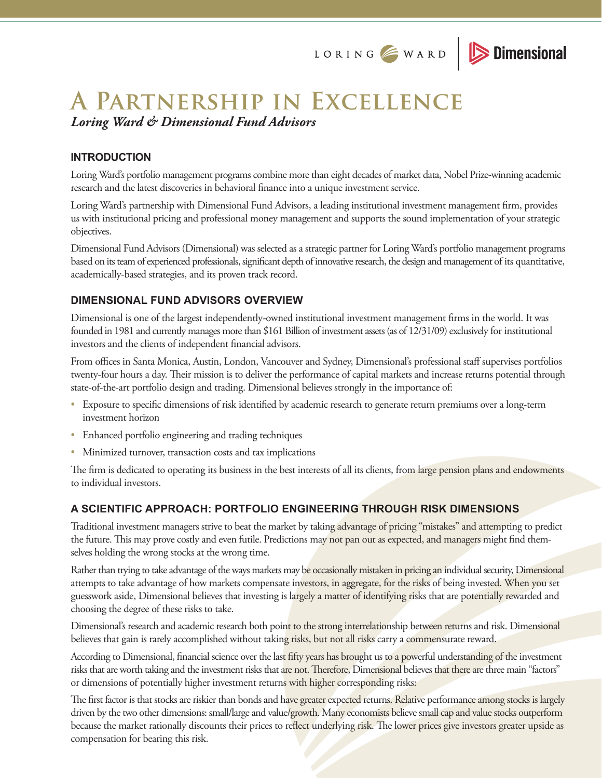

# **A Partnership in Excellence** *Loring Ward & Dimensional Fund Advisors*

# **INTRODUCTION**

Loring Ward's portfolio management programs combine more than eight decades of market data, Nobel Prize-winning academic research and the latest discoveries in behavioral finance into a unique investment service.

Loring Ward's partnership with Dimensional Fund Advisors, a leading institutional investment management firm, provides us with institutional pricing and professional money management and supports the sound implementation of your strategic objectives.

Dimensional Fund Advisors (Dimensional) was selected as a strategic partner for Loring Ward's portfolio management programs based on its team of experienced professionals, significant depth of innovative research, the design and management of its quantitative, academically-based strategies, and its proven track record.

# **DIMENSIONAL FUND ADVISORS OVERVIEW**

Dimensional is one of the largest independently-owned institutional investment management firms in the world. It was founded in 1981 and currently manages more than \$161 Billion of investment assets (as of 12/31/09) exclusively for institutional investors and the clients of independent financial advisors.

From offices in Santa Monica, Austin, London, Vancouver and Sydney, Dimensional's professional staff supervises portfolios twenty-four hours a day. Their mission is to deliver the performance of capital markets and increase returns potential through state-of-the-art portfolio design and trading. Dimensional believes strongly in the importance of:

- Exposure to specific dimensions of risk identified by academic research to generate return premiums over a long-term investment horizon
- Enhanced portfolio engineering and trading techniques
- Minimized turnover, transaction costs and tax implications

The firm is dedicated to operating its business in the best interests of all its clients, from large pension plans and endowments to individual investors.

# **A SCIENTIFIC APPROACH: PORTFOLIO ENGINEERING THROUGH RISK DIMENSIONS**

Traditional investment managers strive to beat the market by taking advantage of pricing "mistakes" and attempting to predict the future. This may prove costly and even futile. Predictions may not pan out as expected, and managers might find themselves holding the wrong stocks at the wrong time.

Rather than trying to take advantage of the ways markets may be occasionally mistaken in pricing an individual security, Dimensional attempts to take advantage of how markets compensate investors, in aggregate, for the risks of being invested. When you set guesswork aside, Dimensional believes that investing is largely a matter of identifying risks that are potentially rewarded and choosing the degree of these risks to take.

Dimensional's research and academic research both point to the strong interrelationship between returns and risk. Dimensional believes that gain is rarely accomplished without taking risks, but not all risks carry a commensurate reward.

According to Dimensional, financial science over the last fifty years has brought us to a powerful understanding of the investment risks that are worth taking and the investment risks that are not. Therefore, Dimensional believes that there are three main "factors" or dimensions of potentially higher investment returns with higher corresponding risks:

The first factor is that stocks are riskier than bonds and have greater expected returns. Relative performance among stocks is largely driven by the two other dimensions: small/large and value/growth. Many economists believe small cap and value stocks outperform because the market rationally discounts their prices to reflect underlying risk. The lower prices give investors greater upside as compensation for bearing this risk.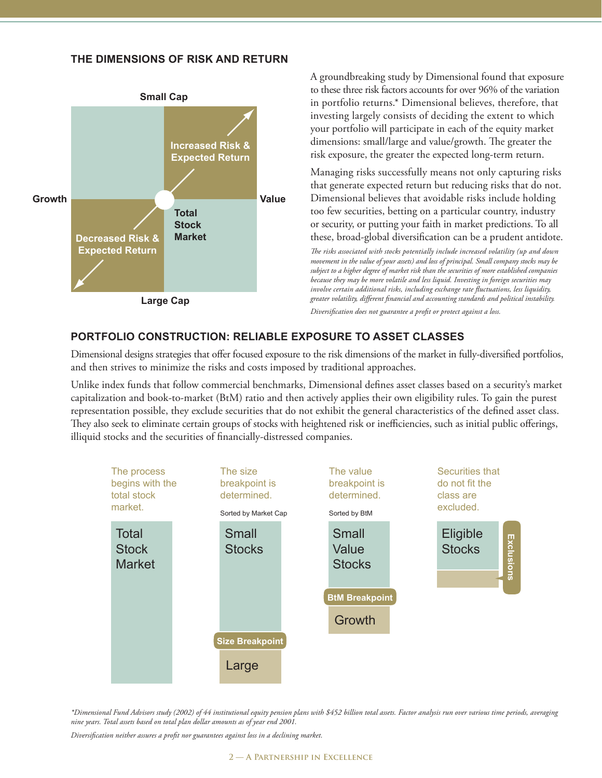## **THE DIMENSIONS OF RISK AND RETURN**



A groundbreaking study by Dimensional found that exposure to these three risk factors accounts for over 96% of the variation in portfolio returns.\* Dimensional believes, therefore, that investing largely consists of deciding the extent to which your portfolio will participate in each of the equity market dimensions: small/large and value/growth. The greater the risk exposure, the greater the expected long-term return.

Managing risks successfully means not only capturing risks that generate expected return but reducing risks that do not. Dimensional believes that avoidable risks include holding too few securities, betting on a particular country, industry or security, or putting your faith in market predictions. To all these, broad-global diversification can be a prudent antidote.

*The risks associated with stocks potentially include increased volatility (up and down movement in the value of your assets) and loss of principal. Small company stocks may be subject to a higher degree of market risk than the securities of more established companies because they may be more volatile and less liquid. Investing in foreign securities may involve certain additional risks, including exchange rate fluctuations, less liquidity, greater volatility, different financial and accounting standards and political instability.* 

*Diversification does not guarantee a profit or protect against a loss.*

## **PORTFOLIO CONSTRUCTION: RELIABLE EXPOSURE TO ASSET CLASSES**

Dimensional designs strategies that offer focused exposure to the risk dimensions of the market in fully-diversified portfolios, and then strives to minimize the risks and costs imposed by traditional approaches.

Unlike index funds that follow commercial benchmarks, Dimensional defines asset classes based on a security's market capitalization and book-to-market (BtM) ratio and then actively applies their own eligibility rules. To gain the purest representation possible, they exclude securities that do not exhibit the general characteristics of the defined asset class. They also seek to eliminate certain groups of stocks with heightened risk or inefficiencies, such as initial public offerings, illiquid stocks and the securities of financially-distressed companies.



*\*Dimensional Fund Advisors study (2002) of 44 institutional equity pension plans with \$452 billion total assets. Factor analysis run over various time periods, averaging nine years. Total assets based on total plan dollar amounts as of year end 2001.*

*Diversification neither assures a profit nor guarantees against loss in a declining market.*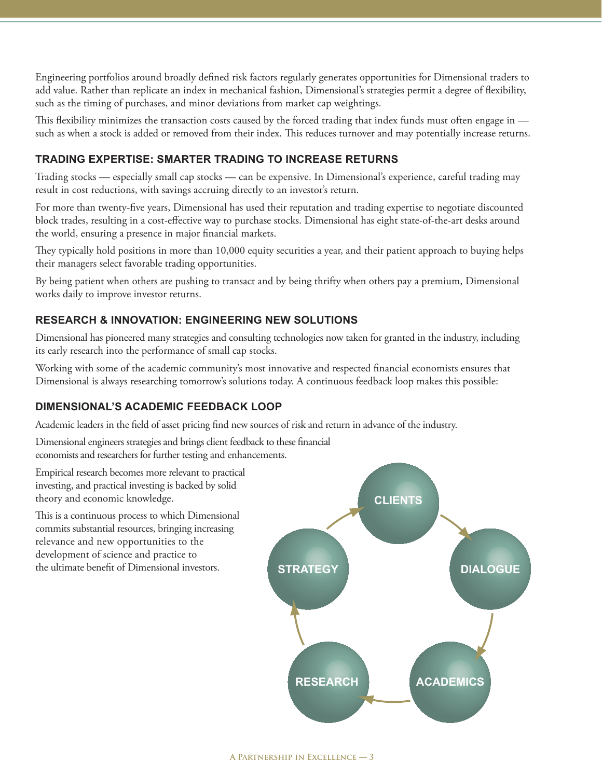Engineering portfolios around broadly defined risk factors regularly generates opportunities for Dimensional traders to add value. Rather than replicate an index in mechanical fashion, Dimensional's strategies permit a degree of flexibility, such as the timing of purchases, and minor deviations from market cap weightings.

This flexibility minimizes the transaction costs caused by the forced trading that index funds must often engage in such as when a stock is added or removed from their index. This reduces turnover and may potentially increase returns.

## **TRADING EXPERTISE: SMARTER TRADING TO INCREASE RETURNS**

Trading stocks — especially small cap stocks — can be expensive. In Dimensional's experience, careful trading may result in cost reductions, with savings accruing directly to an investor's return.

For more than twenty-five years, Dimensional has used their reputation and trading expertise to negotiate discounted block trades, resulting in a cost-effective way to purchase stocks. Dimensional has eight state-of-the-art desks around the world, ensuring a presence in major financial markets.

They typically hold positions in more than 10,000 equity securities a year, and their patient approach to buying helps their managers select favorable trading opportunities.

By being patient when others are pushing to transact and by being thrifty when others pay a premium, Dimensional works daily to improve investor returns.

## **RESEARCH & INNOVATION: ENGINEERING NEW SOLUTIONS**

Dimensional has pioneered many strategies and consulting technologies now taken for granted in the industry, including its early research into the performance of small cap stocks.

Working with some of the academic community's most innovative and respected financial economists ensures that Dimensional is always researching tomorrow's solutions today. A continuous feedback loop makes this possible:

#### **DIMENSIONAL'S ACADEMIC FEEDBACK LOOP**

Academic leaders in the field of asset pricing find new sources of risk and return in advance of the industry.

Dimensional engineers strategies and brings client feedback to these financial economists and researchers for further testing and enhancements.

Empirical research becomes more relevant to practical investing, and practical investing is backed by solid theory and economic knowledge.

This is a continuous process to which Dimensional commits substantial resources, bringing increasing relevance and new opportunities to the development of science and practice to the ultimate benefit of Dimensional investors.